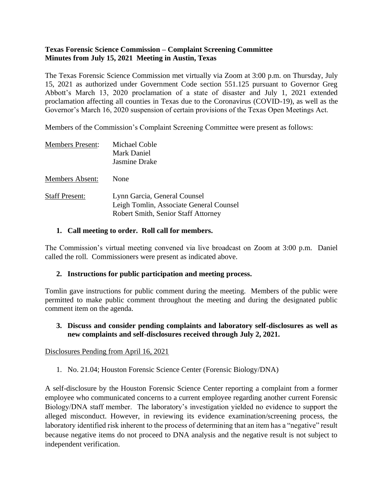## **Texas Forensic Science Commission – Complaint Screening Committee Minutes from July 15, 2021 Meeting in Austin, Texas**

The Texas Forensic Science Commission met virtually via Zoom at 3:00 p.m. on Thursday, July 15, 2021 as authorized under Government Code section 551.125 pursuant to Governor Greg Abbott's March 13, 2020 proclamation of a state of disaster and July 1, 2021 extended proclamation affecting all counties in Texas due to the Coronavirus (COVID-19), as well as the Governor's March 16, 2020 suspension of certain provisions of the Texas Open Meetings Act.

Members of the Commission's Complaint Screening Committee were present as follows:

| <b>Members Present:</b> | Michael Coble<br>Mark Daniel<br>Jasmine Drake                                                                  |
|-------------------------|----------------------------------------------------------------------------------------------------------------|
| <b>Members Absent:</b>  | None                                                                                                           |
| <b>Staff Present:</b>   | Lynn Garcia, General Counsel<br>Leigh Tomlin, Associate General Counsel<br>Robert Smith, Senior Staff Attorney |

### **1. Call meeting to order. Roll call for members.**

The Commission's virtual meeting convened via live broadcast on Zoom at 3:00 p.m. Daniel called the roll. Commissioners were present as indicated above.

## **2. Instructions for public participation and meeting process.**

Tomlin gave instructions for public comment during the meeting. Members of the public were permitted to make public comment throughout the meeting and during the designated public comment item on the agenda.

### **3. Discuss and consider pending complaints and laboratory self-disclosures as well as new complaints and self-disclosures received through July 2, 2021.**

#### Disclosures Pending from April 16, 2021

1. No. 21.04; Houston Forensic Science Center (Forensic Biology/DNA)

A self-disclosure by the Houston Forensic Science Center reporting a complaint from a former employee who communicated concerns to a current employee regarding another current Forensic Biology/DNA staff member. The laboratory's investigation yielded no evidence to support the alleged misconduct. However, in reviewing its evidence examination/screening process, the laboratory identified risk inherent to the process of determining that an item has a "negative" result because negative items do not proceed to DNA analysis and the negative result is not subject to independent verification.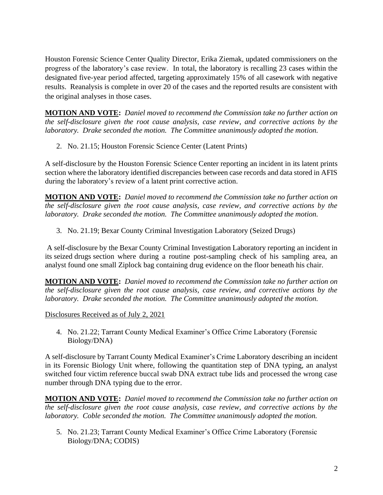Houston Forensic Science Center Quality Director, Erika Ziemak, updated commissioners on the progress of the laboratory's case review. In total, the laboratory is recalling 23 cases within the designated five-year period affected, targeting approximately 15% of all casework with negative results. Reanalysis is complete in over 20 of the cases and the reported results are consistent with the original analyses in those cases.

**MOTION AND VOTE:** *Daniel moved to recommend the Commission take no further action on the self-disclosure given the root cause analysis, case review, and corrective actions by the laboratory. Drake seconded the motion. The Committee unanimously adopted the motion.*

2. No. 21.15; Houston Forensic Science Center (Latent Prints)

A self-disclosure by the Houston Forensic Science Center reporting an incident in its latent prints section where the laboratory identified discrepancies between case records and data stored in AFIS during the laboratory's review of a latent print corrective action.

**MOTION AND VOTE:** *Daniel moved to recommend the Commission take no further action on the self-disclosure given the root cause analysis, case review, and corrective actions by the laboratory. Drake seconded the motion. The Committee unanimously adopted the motion.*

3. No. 21.19; Bexar County Criminal Investigation Laboratory (Seized Drugs)

A self-disclosure by the Bexar County Criminal Investigation Laboratory reporting an incident in its seized drugs section where during a routine post-sampling check of his sampling area, an analyst found one small Ziplock bag containing drug evidence on the floor beneath his chair.

**MOTION AND VOTE:** *Daniel moved to recommend the Commission take no further action on the self-disclosure given the root cause analysis, case review, and corrective actions by the laboratory. Drake seconded the motion. The Committee unanimously adopted the motion.*

Disclosures Received as of July 2, 2021

4. No. 21.22; Tarrant County Medical Examiner's Office Crime Laboratory (Forensic Biology/DNA)

A self-disclosure by Tarrant County Medical Examiner's Crime Laboratory describing an incident in its Forensic Biology Unit where, following the quantitation step of DNA typing, an analyst switched four victim reference buccal swab DNA extract tube lids and processed the wrong case number through DNA typing due to the error.

**MOTION AND VOTE:** *Daniel moved to recommend the Commission take no further action on the self-disclosure given the root cause analysis, case review, and corrective actions by the laboratory. Coble seconded the motion. The Committee unanimously adopted the motion.*

5. No. 21.23; Tarrant County Medical Examiner's Office Crime Laboratory (Forensic Biology/DNA; CODIS)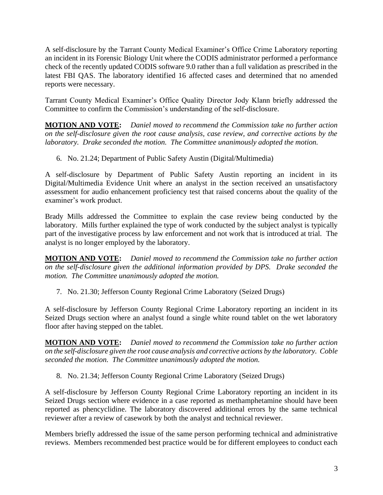A self-disclosure by the Tarrant County Medical Examiner's Office Crime Laboratory reporting an incident in its Forensic Biology Unit where the CODIS administrator performed a performance check of the recently updated CODIS software 9.0 rather than a full validation as prescribed in the latest FBI QAS. The laboratory identified 16 affected cases and determined that no amended reports were necessary.

Tarrant County Medical Examiner's Office Quality Director Jody Klann briefly addressed the Committee to confirm the Commission's understanding of the self-disclosure.

**MOTION AND VOTE:** *Daniel moved to recommend the Commission take no further action on the self-disclosure given the root cause analysis, case review, and corrective actions by the laboratory. Drake seconded the motion. The Committee unanimously adopted the motion.*

6. No. 21.24; Department of Public Safety Austin (Digital/Multimedia)

A self-disclosure by Department of Public Safety Austin reporting an incident in its Digital/Multimedia Evidence Unit where an analyst in the section received an unsatisfactory assessment for audio enhancement proficiency test that raised concerns about the quality of the examiner's work product.

Brady Mills addressed the Committee to explain the case review being conducted by the laboratory. Mills further explained the type of work conducted by the subject analyst is typically part of the investigative process by law enforcement and not work that is introduced at trial. The analyst is no longer employed by the laboratory.

**MOTION AND VOTE:** *Daniel moved to recommend the Commission take no further action on the self-disclosure given the additional information provided by DPS. Drake seconded the motion. The Committee unanimously adopted the motion.*

7. No. 21.30; Jefferson County Regional Crime Laboratory (Seized Drugs)

A self-disclosure by Jefferson County Regional Crime Laboratory reporting an incident in its Seized Drugs section where an analyst found a single white round tablet on the wet laboratory floor after having stepped on the tablet.

**MOTION AND VOTE:** *Daniel moved to recommend the Commission take no further action on the self-disclosure given the root cause analysis and corrective actions by the laboratory. Coble seconded the motion. The Committee unanimously adopted the motion.*

8. No. 21.34; Jefferson County Regional Crime Laboratory (Seized Drugs)

A self-disclosure by Jefferson County Regional Crime Laboratory reporting an incident in its Seized Drugs section where evidence in a case reported as methamphetamine should have been reported as phencyclidine. The laboratory discovered additional errors by the same technical reviewer after a review of casework by both the analyst and technical reviewer.

Members briefly addressed the issue of the same person performing technical and administrative reviews. Members recommended best practice would be for different employees to conduct each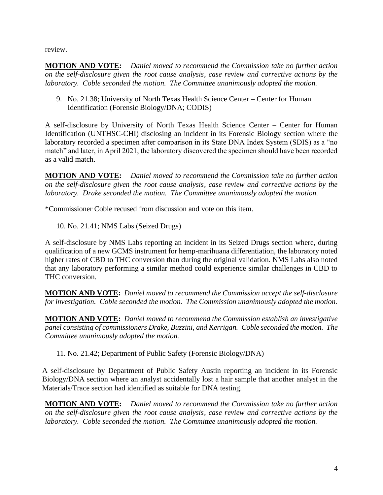review.

**MOTION AND VOTE:** *Daniel moved to recommend the Commission take no further action on the self-disclosure given the root cause analysis, case review and corrective actions by the laboratory. Coble seconded the motion. The Committee unanimously adopted the motion.*

9. No. 21.38; University of North Texas Health Science Center – Center for Human Identification (Forensic Biology/DNA; CODIS)

A self-disclosure by University of North Texas Health Science Center – Center for Human Identification (UNTHSC-CHI) disclosing an incident in its Forensic Biology section where the laboratory recorded a specimen after comparison in its State DNA Index System (SDIS) as a "no match" and later, in April 2021, the laboratory discovered the specimen should have been recorded as a valid match.

**MOTION AND VOTE:** *Daniel moved to recommend the Commission take no further action on the self-disclosure given the root cause analysis, case review and corrective actions by the laboratory. Drake seconded the motion. The Committee unanimously adopted the motion.*

\*Commissioner Coble recused from discussion and vote on this item.

10. No. 21.41; NMS Labs (Seized Drugs)

A self-disclosure by NMS Labs reporting an incident in its Seized Drugs section where, during qualification of a new GCMS instrument for hemp-marihuana differentiation, the laboratory noted higher rates of CBD to THC conversion than during the original validation. NMS Labs also noted that any laboratory performing a similar method could experience similar challenges in CBD to THC conversion.

**MOTION AND VOTE:** *Daniel moved to recommend the Commission accept the self-disclosure for investigation. Coble seconded the motion. The Commission unanimously adopted the motion.* 

**MOTION AND VOTE:** *Daniel moved to recommend the Commission establish an investigative panel consisting of commissioners Drake, Buzzini, and Kerrigan. Coble seconded the motion. The Committee unanimously adopted the motion.* 

11. No. 21.42; Department of Public Safety (Forensic Biology/DNA)

A self-disclosure by Department of Public Safety Austin reporting an incident in its Forensic Biology/DNA section where an analyst accidentally lost a hair sample that another analyst in the Materials/Trace section had identified as suitable for DNA testing.

**MOTION AND VOTE:** *Daniel moved to recommend the Commission take no further action on the self-disclosure given the root cause analysis, case review and corrective actions by the laboratory. Coble seconded the motion. The Committee unanimously adopted the motion.*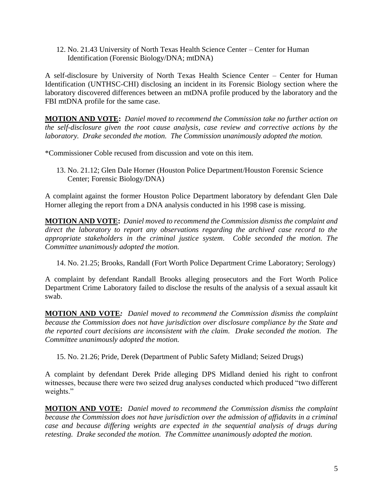12. No. 21.43 University of North Texas Health Science Center – Center for Human Identification (Forensic Biology/DNA; mtDNA)

A self-disclosure by University of North Texas Health Science Center – Center for Human Identification (UNTHSC-CHI) disclosing an incident in its Forensic Biology section where the laboratory discovered differences between an mtDNA profile produced by the laboratory and the FBI mtDNA profile for the same case.

**MOTION AND VOTE:** *Daniel moved to recommend the Commission take no further action on the self-disclosure given the root cause analysis, case review and corrective actions by the laboratory. Drake seconded the motion. The Commission unanimously adopted the motion.*

\*Commissioner Coble recused from discussion and vote on this item.

13. No. 21.12; Glen Dale Horner (Houston Police Department/Houston Forensic Science Center; Forensic Biology/DNA)

A complaint against the former Houston Police Department laboratory by defendant Glen Dale Horner alleging the report from a DNA analysis conducted in his 1998 case is missing.

**MOTION AND VOTE:** *Daniel moved to recommend the Commission dismiss the complaint and direct the laboratory to report any observations regarding the archived case record to the appropriate stakeholders in the criminal justice system. Coble seconded the motion. The Committee unanimously adopted the motion.*

14. No. 21.25; Brooks, Randall (Fort Worth Police Department Crime Laboratory; Serology)

A complaint by defendant Randall Brooks alleging prosecutors and the Fort Worth Police Department Crime Laboratory failed to disclose the results of the analysis of a sexual assault kit swab.

**MOTION AND VOTE***: Daniel moved to recommend the Commission dismiss the complaint because the Commission does not have jurisdiction over disclosure compliance by the State and the reported court decisions are inconsistent with the claim. Drake seconded the motion. The Committee unanimously adopted the motion.*

15. No. 21.26; Pride, Derek (Department of Public Safety Midland; Seized Drugs)

A complaint by defendant Derek Pride alleging DPS Midland denied his right to confront witnesses, because there were two seized drug analyses conducted which produced "two different weights."

**MOTION AND VOTE:** *Daniel moved to recommend the Commission dismiss the complaint because the Commission does not have jurisdiction over the admission of affidavits in a criminal case and because differing weights are expected in the sequential analysis of drugs during retesting. Drake seconded the motion. The Committee unanimously adopted the motion.*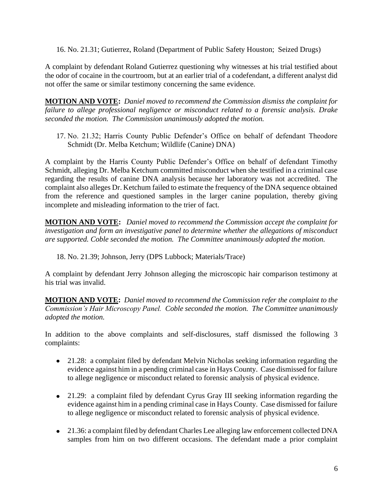16. No. 21.31; Gutierrez, Roland (Department of Public Safety Houston; Seized Drugs)

A complaint by defendant Roland Gutierrez questioning why witnesses at his trial testified about the odor of cocaine in the courtroom, but at an earlier trial of a codefendant, a different analyst did not offer the same or similar testimony concerning the same evidence.

**MOTION AND VOTE:** *Daniel moved to recommend the Commission dismiss the complaint for failure to allege professional negligence or misconduct related to a forensic analysis. Drake seconded the motion. The Commission unanimously adopted the motion.* 

17. No. 21.32; Harris County Public Defender's Office on behalf of defendant Theodore Schmidt (Dr. Melba Ketchum; Wildlife (Canine) DNA)

A complaint by the Harris County Public Defender's Office on behalf of defendant Timothy Schmidt, alleging Dr. Melba Ketchum committed misconduct when she testified in a criminal case regarding the results of canine DNA analysis because her laboratory was not accredited. The complaint also alleges Dr. Ketchum failed to estimate the frequency of the DNA sequence obtained from the reference and questioned samples in the larger canine population, thereby giving incomplete and misleading information to the trier of fact.

**MOTION AND VOTE:** *Daniel moved to recommend the Commission accept the complaint for investigation and form an investigative panel to determine whether the allegations of misconduct are supported. Coble seconded the motion. The Committee unanimously adopted the motion.* 

18. No. 21.39; Johnson, Jerry (DPS Lubbock; Materials/Trace)

A complaint by defendant Jerry Johnson alleging the microscopic hair comparison testimony at his trial was invalid.

**MOTION AND VOTE:** *Daniel moved to recommend the Commission refer the complaint to the Commission's Hair Microscopy Panel. Coble seconded the motion. The Committee unanimously adopted the motion.* 

In addition to the above complaints and self-disclosures, staff dismissed the following 3 complaints:

- 21.28: a complaint filed by defendant Melvin Nicholas seeking information regarding the evidence against him in a pending criminal case in Hays County. Case dismissed for failure to allege negligence or misconduct related to forensic analysis of physical evidence.
- 21.29: a complaint filed by defendant Cyrus Gray III seeking information regarding the evidence against him in a pending criminal case in Hays County. Case dismissed for failure to allege negligence or misconduct related to forensic analysis of physical evidence.
- 21.36: a complaint filed by defendant Charles Lee alleging law enforcement collected DNA samples from him on two different occasions. The defendant made a prior complaint